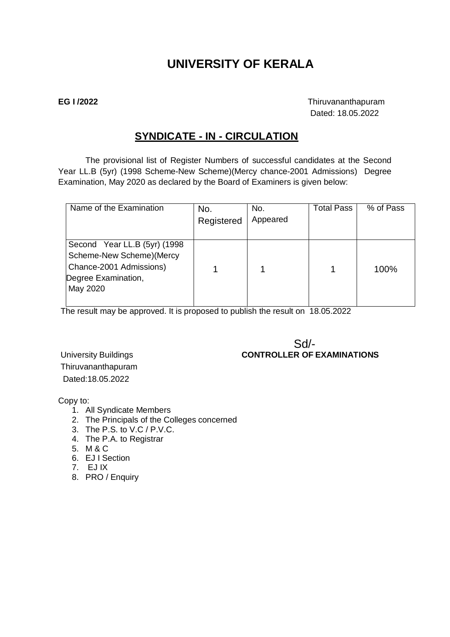# **UNIVERSITY OF KERALA**

**EG I /2022** Thiruvananthapuram Dated: 18.05.2022

## **SYNDICATE - IN - CIRCULATION**

The provisional list of Register Numbers of successful candidates at the Second Year LL.B (5yr) (1998 Scheme-New Scheme)(Mercy chance-2001 Admissions) Degree Examination, May 2020 as declared by the Board of Examiners is given below:

| Name of the Examination                                                                                                 | No.<br>Registered | No.<br>Appeared | <b>Total Pass</b> | % of Pass |
|-------------------------------------------------------------------------------------------------------------------------|-------------------|-----------------|-------------------|-----------|
| Second Year LL.B (5yr) (1998<br>Scheme-New Scheme) (Mercy<br>Chance-2001 Admissions)<br>Degree Examination,<br>May 2020 |                   |                 |                   | 100%      |

The result may be approved. It is proposed to publish the result on 18.05.2022

## Sd/- University Buildings **CONTROLLER OF EXAMINATIONS**

Thiruvananthapuram Dated:18.05.2022

Copy to:

- 1. All Syndicate Members
- 2. The Principals of the Colleges concerned
- 3. The P.S. to V.C / P.V.C.
- 4. The P.A. to Registrar
- 5. M & C
- 6. EJ I Section
- 7. EJ IX
- 8. PRO / Enquiry